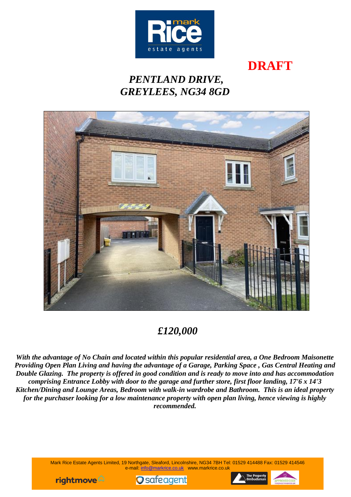

**DRAFT**

# *PENTLAND DRIVE, GREYLEES, NG34 8GD*



## *£120,000*

*With the advantage of No Chain and located within this popular residential area, a One Bedroom Maisonette Providing Open Plan Living and having the advantage of a Garage, Parking Space , Gas Central Heating and Double Glazing. The property is offered in good condition and is ready to move into and has accommodation comprising Entrance Lobby with door to the garage and further store, first floor landing, 17'6 x 14'3 Kitchen/Dining and Lounge Areas, Bedroom with walk-in wardrobe and Bathroom. This is an ideal property for the purchaser looking for a low maintenance property with open plan living, hence viewing is highly recommended.*

> Mark Rice Estate Agents Limited, 19 Northgate, Sleaford, Lincolnshire, NG34 7BH Tel: 01529 414488 Fax: 01529 414546 e-mail: [info@markrice.co.uk](mailto:info@markrice.co.uk) www.markrice.co.uk





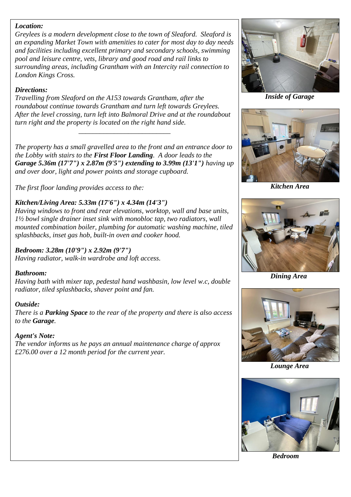#### *Location:*

*Greylees is a modern development close to the town of Sleaford. Sleaford is an expanding Market Town with amenities to cater for most day to day needs and facilities including excellent primary and secondary schools, swimming pool and leisure centre, vets, library and good road and rail links to surrounding areas, including Grantham with an Intercity rail connection to London Kings Cross.*

#### *Directions:*

*Travelling from Sleaford on the A153 towards Grantham, after the roundabout continue towards Grantham and turn left towards Greylees. After the level crossing, turn left into Balmoral Drive and at the roundabout turn right and the property is located on the right hand side.*

*\_\_\_\_\_\_\_\_\_\_\_\_\_\_\_\_\_\_\_\_\_\_\_\_\_\_*

*The property has a small gravelled area to the front and an entrance door to the Lobby with stairs to the First Floor Landing. A door leads to the Garage 5.36m (17'7") x 2.87m (9'5") extending to 3.99m (13'1") having up and over door, light and power points and storage cupboard.*

*The first floor landing provides access to the:*

#### *Kitchen/Living Area: 5.33m (17'6") x 4.34m (14'3")*

*Having windows to front and rear elevations, worktop, wall and base units, 1½ bowl single drainer inset sink with monobloc tap, two radiators, wall mounted combination boiler, plumbing for automatic washing machine, tiled splashbacks, inset gas hob, built-in oven and cooker hood.*

#### *Bedroom: 3.28m (10'9") x 2.92m (9'7")*

*Having radiator, walk-in wardrobe and loft access.*

#### *Bathroom:*

*Having bath with mixer tap, pedestal hand washbasin, low level w.c, double radiator, tiled splashbacks, shaver point and fan.*

#### *Outside:*

*There is a Parking Space to the rear of the property and there is also access to the Garage.*

#### *Agent's Note:*

*The vendor informs us he pays an annual maintenance charge of approx £276.00 over a 12 month period for the current year.*



 *Inside of Garage*



 *Kitchen Area*



 *Dining Area*



 *Lounge Area*



 *Bedroom*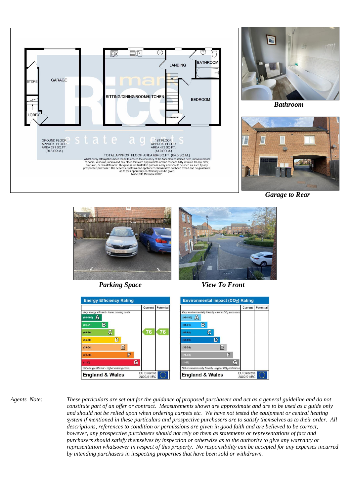



 *Bathroom*



*Garage to Rear*







*Parking Space View To Front* 



*Agents Note: These particulars are set out for the guidance of proposed purchasers and act as a general guideline and do not constitute part of an offer or contract. Measurements shown are approximate and are to be used as a guide only and should not be relied upon when ordering carpets etc. We have not tested the equipment or central heating system if mentioned in these particulars and prospective purchasers are to satisfy themselves as to their order. All descriptions, references to condition or permissions are given in good faith and are believed to be correct, however, any prospective purchasers should not rely on them as statements or representations of fact and purchasers should satisfy themselves by inspection or otherwise as to the authority to give any warranty or representation whatsoever in respect of this property. No responsibility can be accepted for any expenses incurred by intending purchasers in inspecting properties that have been sold or withdrawn.*